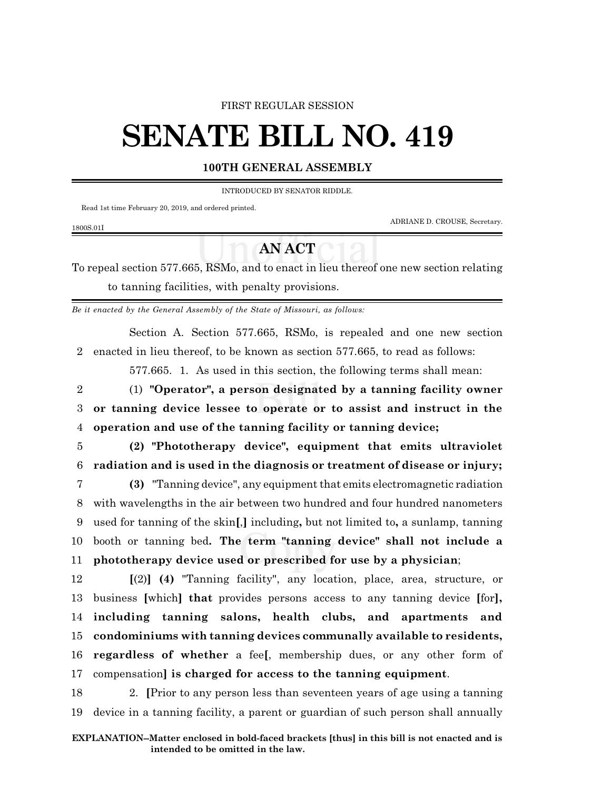#### FIRST REGULAR SESSION

# **SENATE BILL NO. 419**

### **100TH GENERAL ASSEMBLY**

INTRODUCED BY SENATOR RIDDLE.

Read 1st time February 20, 2019, and ordered printed.

ADRIANE D. CROUSE, Secretary.

## **AN ACT**

To repeal section 577.665, RSMo, and to enact in lieu thereof one new section relating to tanning facilities, with penalty provisions.

*Be it enacted by the General Assembly of the State of Missouri, as follows:*

Section A. Section 577.665, RSMo, is repealed and one new section 2 enacted in lieu thereof, to be known as section 577.665, to read as follows:

577.665. 1. As used in this section, the following terms shall mean:

2 (1) **"Operator", a person designated by a tanning facility owner** 3 **or tanning device lessee to operate or to assist and instruct in the** 4 **operation and use of the tanning facility or tanning device;**

5 **(2) "Phototherapy device", equipment that emits ultraviolet** 6 **radiation and is used in the diagnosis or treatment of disease or injury;**

- 7 **(3)** "Tanning device", any equipment that emits electromagnetic radiation 8 with wavelengths in the air between two hundred and four hundred nanometers 9 used for tanning of the skin**[**,**]** including**,** but not limited to**,** a sunlamp, tanning 10 booth or tanning bed**. The term "tanning device" shall not include a** 11 **phototherapy device used or prescribed for use by a physician**;
- 12 **[**(2)**] (4)** "Tanning facility", any location, place, area, structure, or 13 business **[**which**] that** provides persons access to any tanning device **[**for**],** 14 **including tanning salons, health clubs, and apartments and** 15 **condominiums with tanning devices communally available to residents,** 16 **regardless of whether** a fee**[**, membership dues, or any other form of 17 compensation**] is charged for access to the tanning equipment**.
- 18 2. **[**Prior to any person less than seventeen years of age using a tanning 19 device in a tanning facility, a parent or guardian of such person shall annually

#### 1800S.01I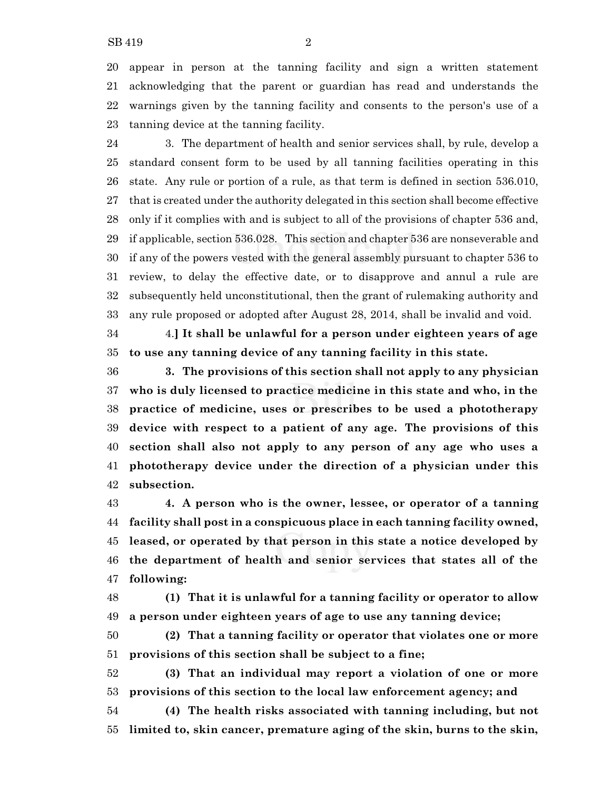appear in person at the tanning facility and sign a written statement acknowledging that the parent or guardian has read and understands the warnings given by the tanning facility and consents to the person's use of a tanning device at the tanning facility.

 3. The department of health and senior services shall, by rule, develop a standard consent form to be used by all tanning facilities operating in this state. Any rule or portion of a rule, as that term is defined in section 536.010, that is created under the authority delegated in this section shall become effective only if it complies with and is subject to all of the provisions of chapter 536 and, if applicable, section 536.028. This section and chapter 536 are nonseverable and if any of the powers vested with the general assembly pursuant to chapter 536 to review, to delay the effective date, or to disapprove and annul a rule are subsequently held unconstitutional, then the grant of rulemaking authority and any rule proposed or adopted after August 28, 2014, shall be invalid and void.

 4.**] It shall be unlawful for a person under eighteen years of age to use any tanning device of any tanning facility in this state.**

 **3. The provisions of this section shall not apply to any physician who is duly licensed to practice medicine in this state and who, in the practice of medicine, uses or prescribes to be used a phototherapy device with respect to a patient of any age. The provisions of this section shall also not apply to any person of any age who uses a phototherapy device under the direction of a physician under this subsection.**

 **4. A person who is the owner, lessee, or operator of a tanning facility shall post in a conspicuous place in each tanning facility owned, leased, or operated by that person in this state a notice developed by the department of health and senior services that states all of the following:**

 **(1) That it is unlawful for a tanning facility or operator to allow a person under eighteen years of age to use any tanning device;**

 **(2) That a tanning facility or operator that violates one or more provisions of this section shall be subject to a fine;**

 **(3) That an individual may report a violation of one or more provisions of this section to the local law enforcement agency; and**

 **(4) The health risks associated with tanning including, but not limited to, skin cancer, premature aging of the skin, burns to the skin,**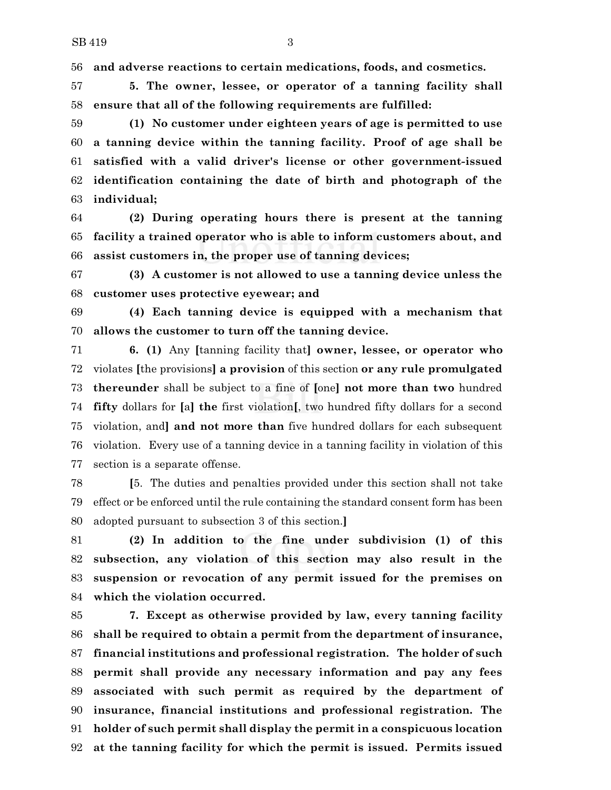**and adverse reactions to certain medications, foods, and cosmetics.**

 **5. The owner, lessee, or operator of a tanning facility shall ensure that all of the following requirements are fulfilled:**

 **(1) No customer under eighteen years of age is permitted to use a tanning device within the tanning facility. Proof of age shall be satisfied with a valid driver's license or other government-issued identification containing the date of birth and photograph of the individual;**

 **(2) During operating hours there is present at the tanning facility a trained operator who is able to inform customers about, and assist customers in, the proper use of tanning devices;**

 **(3) A customer is not allowed to use a tanning device unless the customer uses protective eyewear; and**

 **(4) Each tanning device is equipped with a mechanism that allows the customer to turn off the tanning device.**

 **6. (1)** Any **[**tanning facility that**] owner, lessee, or operator who** violates **[**the provisions**] a provision** of this section **or any rule promulgated thereunder** shall be subject to a fine of **[**one**] not more than two** hundred **fifty** dollars for **[**a**] the** first violation**[**, two hundred fifty dollars for a second violation, and**] and not more than** five hundred dollars for each subsequent violation. Every use of a tanning device in a tanning facility in violation of this section is a separate offense.

 **[**5. The duties and penalties provided under this section shall not take effect or be enforced until the rule containing the standard consent form has been adopted pursuant to subsection 3 of this section.**]**

 **(2) In addition to the fine under subdivision (1) of this subsection, any violation of this section may also result in the suspension or revocation of any permit issued for the premises on which the violation occurred.**

 **7. Except as otherwise provided by law, every tanning facility shall be required to obtain a permit from the department of insurance, financial institutions and professional registration. The holder of such permit shall provide any necessary information and pay any fees associated with such permit as required by the department of insurance, financial institutions and professional registration. The holder of such permit shall display the permit in a conspicuous location at the tanning facility for which the permit is issued. Permits issued**